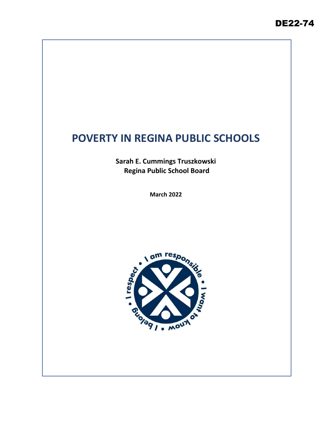# **POVERTY IN REGINA PUBLIC SCHOOLS**

**Sarah E. Cummings Truszkowski Regina Public School Board**

**March 2022**

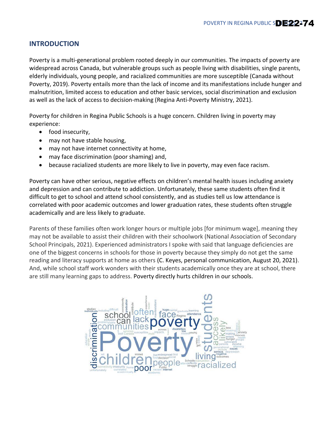### **INTRODUCTION**

Poverty is a multi-generational problem rooted deeply in our communities. The impacts of poverty are widespread across Canada, but vulnerable groups such as people living with disabilities, single parents, elderly individuals, young people, and racialized communities are more susceptible (Canada without Poverty, 2019). Poverty entails more than the lack of income and its manifestations include hunger and malnutrition, limited access to education and other basic services, social discrimination and exclusion as well as the lack of access to decision-making (Regina Anti-Poverty Ministry, 2021).

Poverty for children in Regina Public Schools is a huge concern. Children living in poverty may experience:

- food insecurity,
- may not have stable housing,
- may not have internet connectivity at home,
- may face discrimination (poor shaming) and,
- because racialized students are more likely to live in poverty, may even face racism.

Poverty can have other serious, negative effects on children's mental health issues including anxiety and depression and can contribute to addiction. Unfortunately, these same students often find it difficult to get to school and attend school consistently, and as studies tell us low attendance is correlated with poor academic outcomes and lower graduation rates, these students often struggle academically and are less likely to graduate.

Parents of these families often work longer hours or multiple jobs [for minimum wage], meaning they may not be available to assist their children with their schoolwork (National Association of Secondary School Principals, 2021). Experienced administrators I spoke with said that language deficiencies are one of the biggest concerns in schools for those in poverty because they simply do not get the same reading and literacy supports at home as others (C. Keyes, personal communication, August 20, 2021). And, while school staff work wonders with their students academically once they are at school, there are still many learning gaps to address. Poverty directly hurts children in our schools.

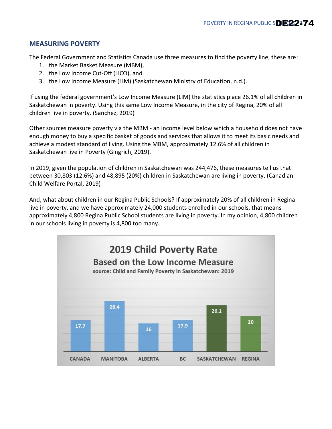## **MEASURING POVERTY**

The Federal Government and Statistics Canada use three measures to find the poverty line, these are:

- 1. the Market Basket Measure (MBM),
- 2. the Low Income Cut-Off (LICO), and
- 3. the Low Income Measure (LIM) (Saskatchewan Ministry of Education, n.d.).

If using the federal government's Low Income Measure (LIM) the statistics place 26.1% of all children in Saskatchewan in poverty. Using this same Low Income Measure, in the city of Regina, 20% of all children live in poverty. (Sanchez, 2019)

Other sources measure poverty via the MBM - an income level below which a household does not have enough money to buy a specific basket of goods and services that allows it to meet its basic needs and achieve a modest standard of living. Using the MBM, approximately 12.6% of all children in Saskatchewan live in Poverty (Gingrich, 2019).

In 2019, given the population of children in Saskatchewan was 244,476, these measures tell us that between 30,803 (12.6%) and 48,895 (20%) children in Saskatchewan are living in poverty. (Canadian Child Welfare Portal, 2019)

And, what about children in our Regina Public Schools? If approximately 20% of all children in Regina live in poverty, and we have approximately 24,000 students enrolled in our schools, that means approximately 4,800 Regina Public School students are living in poverty. In my opinion, 4,800 children in our schools living in poverty is 4,800 too many.

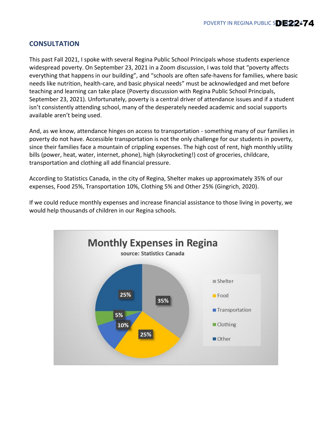## **CONSULTATION**

This past Fall 2021, I spoke with several Regina Public School Principals whose students experience widespread poverty. On September 23, 2021 in a Zoom discussion, I was told that "poverty affects everything that happens in our building", and "schools are often safe-havens for families, where basic needs like nutrition, health-care, and basic physical needs" must be acknowledged and met before teaching and learning can take place (Poverty discussion with Regina Public School Principals, September 23, 2021). Unfortunately, poverty is a central driver of attendance issues and if a student isn't consistently attending school, many of the desperately needed academic and social supports available aren't being used.

And, as we know, attendance hinges on access to transportation - something many of our families in poverty do not have. Accessible transportation is not the only challenge for our students in poverty, since their families face a mountain of crippling expenses. The high cost of rent, high monthly utility bills (power, heat, water, internet, phone), high (skyrocketing!) cost of groceries, childcare, transportation and clothing all add financial pressure.

According to Statistics Canada, in the city of Regina, Shelter makes up approximately 35% of our expenses, Food 25%, Transportation 10%, Clothing 5% and Other 25% (Gingrich, 2020).

If we could reduce monthly expenses and increase financial assistance to those living in poverty, we would help thousands of children in our Regina schools.

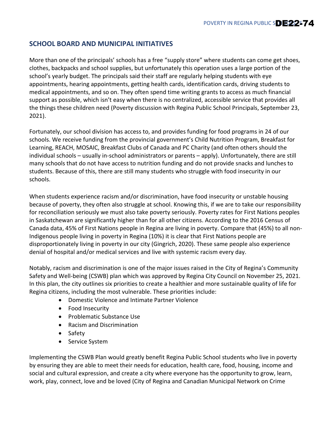## **SCHOOL BOARD AND MUNICIPAL INITIATIVES**

More than one of the principals' schools has a free "supply store" where students can come get shoes, clothes, backpacks and school supplies, but unfortunately this operation uses a large portion of the school's yearly budget. The principals said their staff are regularly helping students with eye appointments, hearing appointments, getting health cards, identification cards, driving students to medical appointments, and so on. They often spend time writing grants to access as much financial support as possible, which isn't easy when there is no centralized, accessible service that provides all the things these children need (Poverty discussion with Regina Public School Principals, September 23, 2021).

Fortunately, our school division has access to, and provides funding for food programs in 24 of our schools. We receive funding from the provincial government's Child Nutrition Program, Breakfast for Learning, REACH, MOSAIC, Breakfast Clubs of Canada and PC Charity (and often others should the individual schools – usually in-school administrators or parents – apply). Unfortunately, there are still many schools that do not have access to nutrition funding and do not provide snacks and lunches to students. Because of this, there are still many students who struggle with food insecurity in our schools.

When students experience racism and/or discrimination, have food insecurity or unstable housing because of poverty, they often also struggle at school. Knowing this, if we are to take our responsibility for reconciliation seriously we must also take poverty seriously. Poverty rates for First Nations peoples in Saskatchewan are significantly higher than for all other citizens. According to the 2016 Census of Canada data, 45% of First Nations people in Regina are living in poverty. Compare that (45%) to all non-Indigenous people living in poverty in Regina (10%) it is clear that First Nations people are disproportionately living in poverty in our city (Gingrich, 2020). These same people also experience denial of hospital and/or medical services and live with systemic racism every day.

Notably, racism and discrimination is one of the major issues raised in the City of Regina's Community Safety and Well-being (CSWB) plan which was approved by Regina City Council on November 25, 2021. In this plan, the city outlines six priorities to create a healthier and more sustainable quality of life for Regina citizens, including the most vulnerable. These priorities include:

- Domestic Violence and Intimate Partner Violence
- Food Insecurity
- Problematic Substance Use
- Racism and Discrimination
- Safety
- Service System

Implementing the CSWB Plan would greatly benefit Regina Public School students who live in poverty by ensuring they are able to meet their needs for education, health care, food, housing, income and social and cultural expression, and create a city where everyone has the opportunity to grow, learn, work, play, connect, love and be loved (City of Regina and Canadian Municipal Network on Crime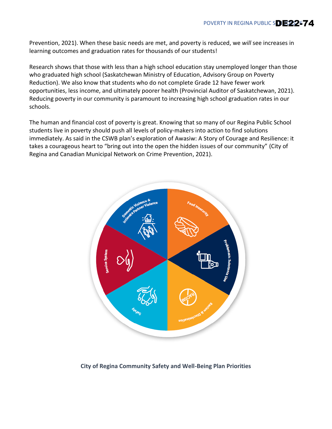Prevention, 2021). When these basic needs are met, and poverty is reduced, we *will* see increases in learning outcomes and graduation rates for thousands of our students!

Research shows that those with less than a high school education stay unemployed longer than those who graduated high school (Saskatchewan Ministry of Education, Advisory Group on Poverty Reduction). We also know that students who do not complete Grade 12 have fewer work opportunities, less income, and ultimately poorer health (Provincial Auditor of Saskatchewan, 2021). Reducing poverty in our community is paramount to increasing high school graduation rates in our schools.

The human and financial cost of poverty is great. Knowing that so many of our Regina Public School students live in poverty should push all levels of policy-makers into action to find solutions immediately. As said in the CSWB plan's exploration of Awasiw: A Story of Courage and Resilience: it takes a courageous heart to "bring out into the open the hidden issues of our community" (City of Regina and Canadian Municipal Network on Crime Prevention, 2021).



#### **City of Regina Community Safety and Well-Being Plan Priorities**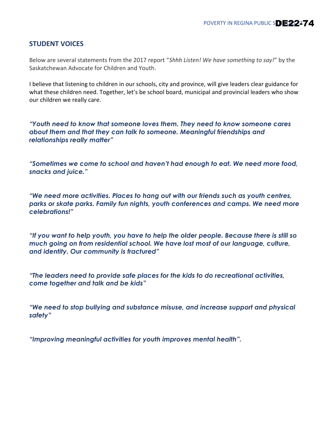#### **STUDENT VOICES**

Below are several statements from the 2017 report "*Shhh Listen! We have something to say!*" by the Saskatchewan Advocate for Children and Youth.

I believe that listening to children in our schools, city and province, will give leaders clear guidance for what these children need. Together, let's be school board, municipal and provincial leaders who show our children we really care.

*"Youth need to know that someone loves them. They need to know someone cares about them and that they can talk to someone. Meaningful friendships and relationships really matter"*

*"Sometimes we come to school and haven't had enough to eat. We need more food, snacks and juice."*

*"We need more activities. Places to hang out with our friends such as youth centres, parks or skate parks. Family fun nights, youth conferences and camps. We need more celebrations!"*

*"If you want to help youth, you have to help the older people. Because there is still so much going on from residential school. We have lost most of our language, culture, and identity. Our community is fractured"*

*"The leaders need to provide safe places for the kids to do recreational activities, come together and talk and be kids"*

*"We need to stop bullying and substance misuse, and increase support and physical safety"*

*"Improving meaningful activities for youth improves mental health".*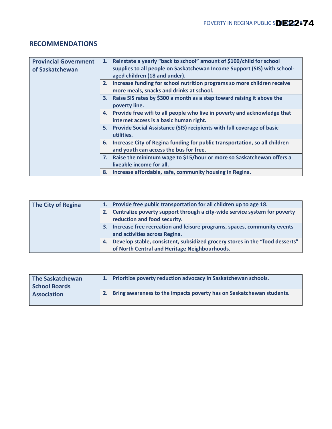## **RECOMMENDATIONS**

| <b>Provincial Government</b><br>of Saskatchewan | 1. | Reinstate a yearly "back to school" amount of \$100/child for school<br>supplies to all people on Saskatchewan Income Support (SIS) with school-<br>aged children (18 and under). |
|-------------------------------------------------|----|-----------------------------------------------------------------------------------------------------------------------------------------------------------------------------------|
|                                                 | 2. | Increase funding for school nutrition programs so more children receive<br>more meals, snacks and drinks at school.                                                               |
|                                                 | 3. | Raise SIS rates by \$300 a month as a step toward raising it above the<br>poverty line.                                                                                           |
|                                                 |    | 4. Provide free wifi to all people who live in poverty and acknowledge that<br>internet access is a basic human right.                                                            |
|                                                 | 5. | Provide Social Assistance (SIS) recipients with full coverage of basic<br>utilities.                                                                                              |
|                                                 | 6. | Increase City of Regina funding for public transportation, so all children<br>and youth can access the bus for free.                                                              |
|                                                 |    | 7. Raise the minimum wage to \$15/hour or more so Saskatchewan offers a<br>liveable income for all.                                                                               |
|                                                 |    | 8. Increase affordable, safe, community housing in Regina.                                                                                                                        |

| The City of Regina |    | 1. Provide free public transportation for all children up to age 18.         |
|--------------------|----|------------------------------------------------------------------------------|
|                    | 2. | Centralize poverty support through a city-wide service system for poverty    |
|                    |    | reduction and food security.                                                 |
|                    | З. | Increase free recreation and leisure programs, spaces, community events      |
|                    |    | and activities across Regina.                                                |
|                    | 4. | Develop stable, consistent, subsidized grocery stores in the "food desserts" |
|                    |    | of North Central and Heritage Neighbourhoods.                                |

| <b>The Saskatchewan</b><br><b>School Boards</b> | Prioritize poverty reduction advocacy in Saskatchewan schools.       |
|-------------------------------------------------|----------------------------------------------------------------------|
| <b>Association</b>                              | Bring awareness to the impacts poverty has on Saskatchewan students. |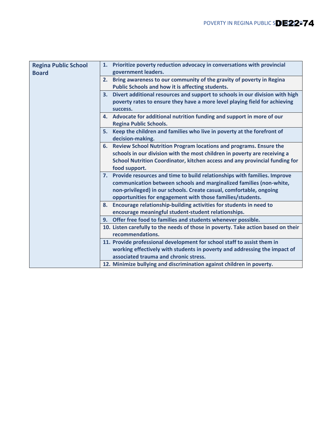| <b>Regina Public School</b> |    | 1. Prioritize poverty reduction advocacy in conversations with provincial         |
|-----------------------------|----|-----------------------------------------------------------------------------------|
| <b>Board</b>                |    | government leaders.                                                               |
|                             | 2. | Bring awareness to our community of the gravity of poverty in Regina              |
|                             |    | Public Schools and how it is affecting students.                                  |
|                             | 3. | Divert additional resources and support to schools in our division with high      |
|                             |    |                                                                                   |
|                             |    | poverty rates to ensure they have a more level playing field for achieving        |
|                             |    | success.                                                                          |
|                             |    | 4. Advocate for additional nutrition funding and support in more of our           |
|                             |    | <b>Regina Public Schools.</b>                                                     |
|                             | 5. | Keep the children and families who live in poverty at the forefront of            |
|                             |    | decision-making.                                                                  |
|                             | 6. | Review School Nutrition Program locations and programs. Ensure the                |
|                             |    | schools in our division with the most children in poverty are receiving a         |
|                             |    | School Nutrition Coordinator, kitchen access and any provincial funding for       |
|                             |    | food support.                                                                     |
|                             |    |                                                                                   |
|                             |    | 7. Provide resources and time to build relationships with families. Improve       |
|                             |    | communication between schools and marginalized families (non-white,               |
|                             |    | non-privileged) in our schools. Create casual, comfortable, ongoing               |
|                             |    | opportunities for engagement with those families/students.                        |
|                             | 8. | Encourage relationship-building activities for students in need to                |
|                             |    | encourage meaningful student-student relationships.                               |
|                             |    | 9. Offer free food to families and students whenever possible.                    |
|                             |    | 10. Listen carefully to the needs of those in poverty. Take action based on their |
|                             |    |                                                                                   |
|                             |    | recommendations.                                                                  |
|                             |    | 11. Provide professional development for school staff to assist them in           |
|                             |    | working effectively with students in poverty and addressing the impact of         |
|                             |    | associated trauma and chronic stress.                                             |
|                             |    | 12. Minimize bullying and discrimination against children in poverty.             |